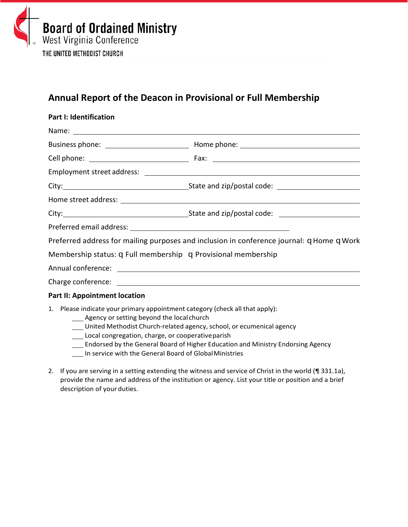

## **Annual Report of the Deacon in Provisional or Full Membership**

| <b>Part I: Identification</b>                                                                                                                                                      |                                                                                                                                                                                                                                                              |
|------------------------------------------------------------------------------------------------------------------------------------------------------------------------------------|--------------------------------------------------------------------------------------------------------------------------------------------------------------------------------------------------------------------------------------------------------------|
|                                                                                                                                                                                    |                                                                                                                                                                                                                                                              |
|                                                                                                                                                                                    |                                                                                                                                                                                                                                                              |
|                                                                                                                                                                                    |                                                                                                                                                                                                                                                              |
|                                                                                                                                                                                    |                                                                                                                                                                                                                                                              |
|                                                                                                                                                                                    |                                                                                                                                                                                                                                                              |
|                                                                                                                                                                                    |                                                                                                                                                                                                                                                              |
|                                                                                                                                                                                    |                                                                                                                                                                                                                                                              |
|                                                                                                                                                                                    |                                                                                                                                                                                                                                                              |
|                                                                                                                                                                                    | Preferred address for mailing purposes and inclusion in conference journal: q Home q Work                                                                                                                                                                    |
| Membership status: q Full membership q Provisional membership                                                                                                                      |                                                                                                                                                                                                                                                              |
|                                                                                                                                                                                    |                                                                                                                                                                                                                                                              |
|                                                                                                                                                                                    |                                                                                                                                                                                                                                                              |
| <b>Part II: Appointment location</b>                                                                                                                                               |                                                                                                                                                                                                                                                              |
| 1. Please indicate your primary appointment category (check all that apply):<br>___ Agency or setting beyond the local church<br>Local congregation, charge, or cooperative parish | United Methodist Church-related agency, school, or ecumenical agency<br>$\mathbf{r} = \mathbf{r} + \mathbf{r}$ and $\mathbf{r} = \mathbf{r} + \mathbf{r}$ and $\mathbf{r} = \mathbf{r} + \mathbf{r}$ and $\mathbf{r} = \mathbf{r} + \mathbf{r} + \mathbf{r}$ |

- **\_\_\_** Endorsed by the General Board of Higher Education and Ministry Endorsing Agency
- In service with the General Board of Global Ministries
- 2. If you are serving in a setting extending the witness and service of Christ in the world (¶ 331.1a), provide the name and address of the institution or agency. List your title or position and a brief description of your duties.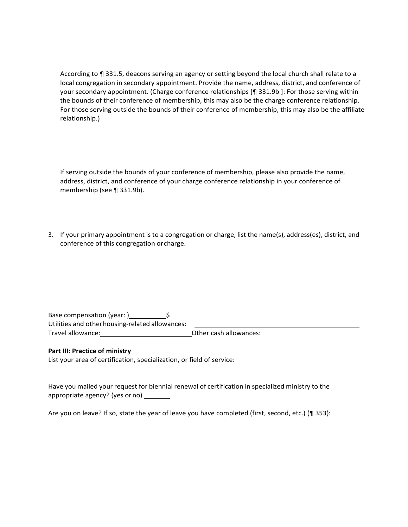According to ¶ 331.5, deacons serving an agency or setting beyond the local church shall relate to a local congregation in secondary appointment. Provide the name, address, district, and conference of your secondary appointment. (Charge conference relationships [¶ 331.9b ]: For those serving within the bounds of their conference of membership, this may also be the charge conference relationship. For those serving outside the bounds of their conference of membership, this may also be the affiliate relationship.)

If serving outside the bounds of your conference of membership, please also provide the name, address, district, and conference of your charge conference relationship in your conference of membership (see ¶ 331.9b).

3. If your primary appointment is to a congregation or charge, list the name(s), address(es), district, and conference of this congregation or charge.

| Base compensation (year: )                      |                        |
|-------------------------------------------------|------------------------|
| Utilities and other housing-related allowances: |                        |
| Travel allowance:                               | Other cash allowances: |

## **Part III: Practice of ministry**

List your area of certification, specialization, or field of service:

Have you mailed your request for biennial renewal of certification in specialized ministry to the appropriate agency? (yes or no)

Are you on leave? If so, state the year of leave you have completed (first, second, etc.) (¶ 353):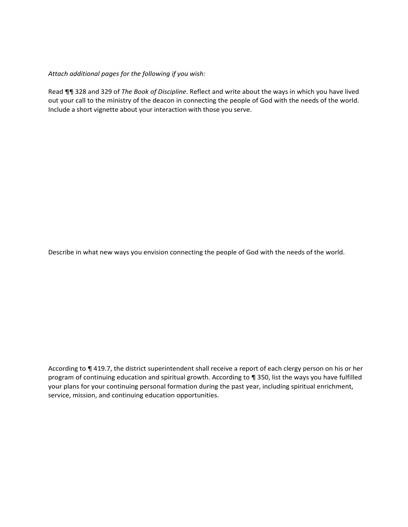*Attach additional pages for the following if you wish:*

Read ¶¶ 328 and 329 of *The Book of Discipline*. Reflect and write about the ways in which you have lived out your call to the ministry of the deacon in connecting the people of God with the needs of the world. Include a short vignette about your interaction with those you serve.

Describe in what new ways you envision connecting the people of God with the needs of the world.

According to ¶ 419.7, the district superintendent shall receive a report of each clergy person on his or her program of continuing education and spiritual growth. According to ¶ 350, list the ways you have fulfilled your plans for your continuing personal formation during the past year, including spiritual enrichment, service, mission, and continuing education opportunities.